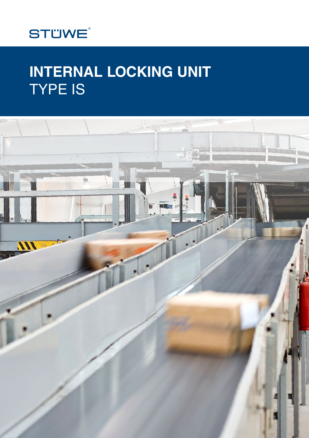

# **INTERNAL LOCKING UNIT** TYPE IS

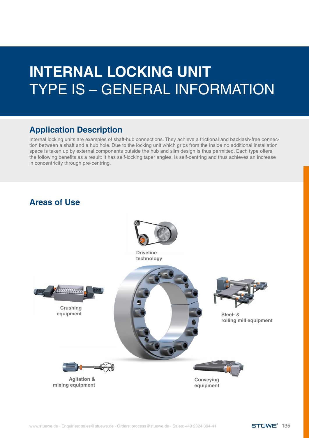# **INTERNAL LOCKING UNIT**  TYPE IS – GENERAL INFORMATION

### **Application Description**

Internal locking units are examples of shaft-hub connections. They achieve a frictional and backlash-free connection between a shaft and a hub hole. Due to the locking unit which grips from the inside no additional installation space is taken up by external components outside the hub and slim design is thus permitted. Each type offers the following benefits as a result: It has self-locking taper angles, is self-centring and thus achieves an increase in concentricity through pre-centring.

### **Areas of Use**

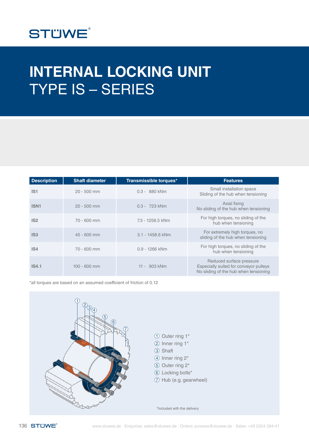

# **INTERNAL LOCKING UNIT**  TYPE IS – SERIES

| <b>Description</b> | <b>Shaft diameter</b> | Transmissible torques* | <b>Features</b>                                                                                             |
|--------------------|-----------------------|------------------------|-------------------------------------------------------------------------------------------------------------|
| IS <sub>1</sub>    | $20 - 500$ mm         | 0.3 - 880 kNm          | Small installation space<br>Sliding of the hub when tensioning                                              |
| <b>ISN1</b>        | $20 - 500$ mm         | 0.3 - 723 kNm          | Axial fixing<br>No sliding of the hub when tensioning                                                       |
| IS <sub>2</sub>    | 70 - 600 mm           | 7.3 - 1258.5 kNm       | For high torques, no sliding of the<br>hub when tensioning                                                  |
| IS <sub>3</sub>    | 45 - 600 mm           | 3.1 - 1458.6 kNm       | For extremely high torques, no<br>sliding of the hub when tensioning                                        |
| IS <sub>4</sub>    | 70 - 600 mm           | 0.9 - 1266 kNm         | For high torques, no sliding of the<br>hub when tensioning                                                  |
| <b>IS4.1</b>       | $100 - 600$ mm        | 11 - 903 kNm           | Reduced surface pressure<br>Especially suited for conveyor pulleys<br>No sliding of the hub when tensioning |

\*all torques are based on an assumed coefficient of friction of 0.12

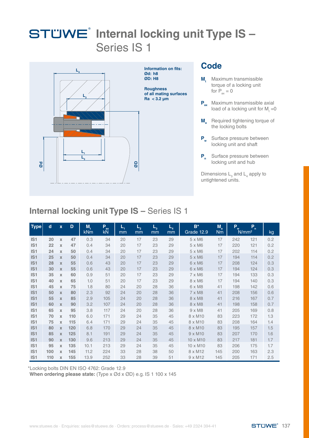

#### **Code**

- **M**<sub>t</sub> Maximum transmissible torque of a locking unit for  $P_{av} = 0$
- **P**<sub>ax</sub> Maximum transmissible axial load of a locking unit for  $M_t = 0$
- **M Required tightening torque of** the locking bolts
- **P<sub>w</sub>** Surface pressure between locking unit and shaft
- **P<sub>n</sub>** Surface pressure between locking unit and hub

Dimensions  $L_{3}$  and  $L_{4}$  apply to untightened units.

### **Internal locking unit Type IS –** Series IS 1

| <b>Type</b>     | $\mathbf d$ | $\mathbf x$               | D   | M,<br><b>kNm</b> | R<br>kN | L,<br>mm | $L_{2}$<br>mm | $L_{3}$<br>mm | $\boldsymbol{\varphi}$<br>mm | $B^*$<br>Grade 12.9 | $M_a$<br><b>Nm</b> | $\mathbf{P}_{\mathbf{w}}$ | P.<br>N/mm <sup>2</sup> | kg  |
|-----------------|-------------|---------------------------|-----|------------------|---------|----------|---------------|---------------|------------------------------|---------------------|--------------------|---------------------------|-------------------------|-----|
| IS <sub>1</sub> | 20          | $\mathbf x$               | 47  | 0.3              | 34      | 20       | 17            | 23            | 29                           | 5 x M6              | 17                 | 242                       | 121                     | 0.2 |
| IS <sub>1</sub> | 22          | $\boldsymbol{\mathsf{x}}$ | 47  | 0.4              | 34      | 20       | 17            | 23            | 29                           | 5 x M6              | 17                 | 220                       | 121                     | 0.2 |
| IS <sub>1</sub> | 24          | X                         | 50  | 0.4              | 34      | 20       | 17            | 23            | 29                           | 5 x M6              | 17                 | 202                       | 114                     | 0.2 |
| IS <sub>1</sub> | 25          | $\mathbf x$               | 50  | 0.4              | 34      | 20       | 17            | 23            | 29                           | 5 x M6              | 17                 | 194                       | 114                     | 0.2 |
| IS <sub>1</sub> | 28          | $\mathbf x$               | 55  | 0.6              | 43      | 20       | 17            | 23            | 29                           | 6 x M6              | 17                 | 208                       | 124                     | 0.3 |
| IS <sub>1</sub> | 30          | $\mathbf x$               | 55  | 0.6              | 43      | 20       | 17            | 23            | 29                           | 6 x M6              | 17                 | 194                       | 124                     | 0.3 |
| IS <sub>1</sub> | 35          | X                         | 60  | 0.9              | 51      | 20       | 17            | 23            | 29                           | 7 x M6              | 17                 | 194                       | 133                     | 0.3 |
| IS <sub>1</sub> | 40          | $\mathbf x$               | 65  | 1.0              | 51      | 20       | 17            | 23            | 29                           | 8 x M6              | 17                 | 194                       | 140                     | 0.3 |
| IS <sub>1</sub> | 45          | X                         | 75  | 1.8              | 80      | 24       | 20            | 28            | 36                           | 6 x M8              | 41                 | 198                       | 142                     | 0.6 |
| IS <sub>1</sub> | 50          | $\mathbf x$               | 80  | 2.3              | 92      | 24       | 20            | 28            | 36                           | 7 x M8              | 41                 | 208                       | 156                     | 0.6 |
| IS <sub>1</sub> | 55          | $\mathbf x$               | 85  | 2.9              | 105     | 24       | 20            | 28            | 36                           | 8 x M8              | 41                 | 216                       | 167                     | 0.7 |
| IS <sub>1</sub> | 60          | $\mathbf x$               | 90  | 3.2              | 107     | 24       | 20            | 28            | 36                           | 8 x M8              | 41                 | 198                       | 158                     | 0.7 |
| IS <sub>1</sub> | 65          | X                         | 95  | 3.8              | 117     | 24       | 20            | 28            | 36                           | $9 \times M8$       | 41                 | 205                       | 169                     | 0.8 |
| IS <sub>1</sub> | 70          | $\mathbf x$               | 110 | 6.0              | 171     | 29       | 24            | 35            | 45                           | 8 x M10             | 83                 | 223                       | 172                     | 1.3 |
| IS <sub>1</sub> | 75          | X                         | 115 | 6.4              | 171     | 29       | 24            | 35            | 45                           | 8 x M10             | 83                 | 208                       | 164                     | 1.4 |
| IS <sub>1</sub> | 80          | $\mathbf x$               | 120 | 6.8              | 170     | 29       | 24            | 35            | 45                           | 8 x M10             | 83                 | 195                       | 157                     | 1.5 |
| IS <sub>1</sub> | 85          | $\mathbf x$               | 125 | 8.1              | 191     | 29       | 24            | 35            | 45                           | $9 \times M10$      | 83                 | 207                       | 170                     | 1.6 |
| IS1             | 90          | $\mathbf x$               | 130 | 9.6              | 213     | 29       | 24            | 35            | 45                           | 10 x M10            | 83                 | 217                       | 181                     | 1.7 |
| IS <sub>1</sub> | 95          | $\mathbf x$               | 135 | 10.1             | 213     | 29       | 24            | 35            | 45                           | 10 x M10            | 83                 | 206                       | 175                     | 1.7 |
| IS1             | 100         | $\mathbf x$               | 145 | 11.2             | 224     | 33       | 28            | 38            | 50                           | 8 x M12             | 145                | 200                       | 163                     | 2.3 |
| IS <sub>1</sub> | 110         | X                         | 155 | 13.9             | 252     | 33       | 28            | 39            | 51                           | $9 \times M12$      | 145                | 205                       | 171                     | 2.5 |

\*Locking bolts DIN EN ISO 4762: Grade 12.9

**When ordering please state:** (Type x Ød x ØD) e.g. IS 1 100 x 145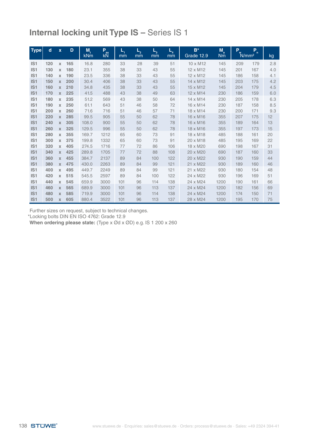| <b>Type</b>     | $\mathbf d$ | $\mathbf{x}$ | D   | M,    | R    | L,  | $\mathbf{\varphi}$ | $\frac{1}{3}$ | $\boldsymbol{\varphi}$ | $B^*$      | $M_a$     | P.  | $\mathbf{P}$      |     |
|-----------------|-------------|--------------|-----|-------|------|-----|--------------------|---------------|------------------------|------------|-----------|-----|-------------------|-----|
|                 |             |              |     | kNm   | kN   | mm  | mm                 | mm            | mm                     | Grade 12.9 | <b>Nm</b> |     | N/mm <sup>2</sup> | kg  |
| IS1             | 120         | X            | 165 | 16.8  | 280  | 33  | 28                 | 39            | 51                     | 10 x M12   | 145       | 209 | 179               | 2.8 |
| IS <sub>1</sub> | 130         | $\mathbf x$  | 180 | 23.1  | 355  | 38  | 33                 | 43            | 55                     | 12 x M12   | 145       | 201 | 167               | 4.0 |
| IS <sub>1</sub> | 140         | $\mathbf x$  | 190 | 23.5  | 336  | 38  | 33                 | 43            | 55                     | 12 x M12   | 145       | 186 | 158               | 4.1 |
| IS <sub>1</sub> | 150         | $\mathbf x$  | 200 | 30.4  | 406  | 38  | 33                 | 43            | 55                     | 14 x M12   | 145       | 203 | 175               | 4.2 |
| IS <sub>1</sub> | 160         | $\mathbf x$  | 210 | 34.8  | 435  | 38  | 33                 | 43            | 55                     | 15 x M12   | 145       | 204 | 179               | 4.5 |
| IS <sub>1</sub> | 170         | $\mathbf x$  | 225 | 41.5  | 488  | 43  | 38                 | 49            | 63                     | 12 x M14   | 230       | 186 | 159               | 6.0 |
| IS1             | 180         | X            | 235 | 51.2  | 569  | 43  | 38                 | 50            | 64                     | 14 x M14   | 230       | 205 | 178               | 6.3 |
| IS <sub>1</sub> | 190         | $\mathbf{x}$ | 250 | 61.1  | 643  | 51  | 46                 | 58            | 72                     | 16 x M14   | 230       | 187 | 158               | 8.5 |
| IS <sub>1</sub> | 200         | $\mathbf x$  | 260 | 71.6  | 716  | 51  | 46                 | 57            | 71                     | 18 x M14   | 230       | 200 | 171               | 9.3 |
| IS <sub>1</sub> | 220         | $\mathbf x$  | 285 | 99.5  | 905  | 55  | 50                 | 62            | 78                     | 16 x M16   | 355       | 207 | 175               | 12  |
| IS1             | 240         | $\mathbf x$  | 305 | 108.0 | 900  | 55  | 50                 | 62            | 78                     | 16 x M16   | 355       | 189 | 164               | 13  |
| IS <sub>1</sub> | 260         | X            | 325 | 129.5 | 996  | 55  | 50                 | 62            | 78                     | 18 x M16   | 355       | 197 | 173               | 15  |
| IS <sub>1</sub> | 280         | X            | 355 | 169.7 | 1212 | 65  | 60                 | 73            | 91                     | 18 x M18   | 485       | 188 | 161               | 20  |
| IS <sub>1</sub> | 300         | $\mathbf x$  | 375 | 199.8 | 1332 | 65  | 60                 | 73            | 91                     | 20 x M18   | 485       | 195 | 169               | 22  |
| IS <sub>1</sub> | 320         | X            | 405 | 274.5 | 1716 | 77  | 72                 | 86            | 106                    | 18 x M20   | 690       | 198 | 167               | 31  |
| IS <sub>1</sub> | 340         | $\mathbf{x}$ | 425 | 289.8 | 1705 | 77  | 72                 | 88            | 108                    | 20 x M20   | 690       | 187 | 160               | 33  |
| IS <sub>1</sub> | 360         | X            | 455 | 384.7 | 2137 | 89  | 84                 | 100           | 122                    | 20 x M22   | 930       | 190 | 159               | 44  |
| IS <sub>1</sub> | 380         | $\mathbf x$  | 475 | 430.0 | 2263 | 89  | 84                 | 99            | 121                    | 21 x M22   | 930       | 189 | 160               | 46  |
| IS <sub>1</sub> | 400         | $\mathbf x$  | 495 | 449.7 | 2249 | 89  | 84                 | 99            | 121                    | 21 x M22   | 930       | 180 | 154               | 48  |
| IS <sub>1</sub> | 420         | $\mathbf x$  | 515 | 545.5 | 2597 | 89  | 84                 | 100           | 122                    | 24 x M22   | 930       | 196 | 169               | 51  |
| IS <sub>1</sub> | 440         | X            | 545 | 659.9 | 3000 | 101 | 96                 | 114           | 138                    | 24 x M24   | 1200      | 190 | 161               | 66  |
| IS <sub>1</sub> | 460         | $\mathbf x$  | 565 | 689.9 | 3000 | 101 | 96                 | 113           | 137                    | 24 x M24   | 1200      | 182 | 156               | 69  |
| IS <sub>1</sub> | 480         | $\mathbf x$  | 585 | 719.9 | 3000 | 101 | 96                 | 114           | 138                    | 24 x M24   | 1200      | 174 | 150               | 71  |
| IS <sub>1</sub> | 500         | $\mathbf x$  | 605 | 880.4 | 3522 | 101 | 96                 | 113           | 137                    | 28 x M24   | 1200      | 195 | 170               | 75  |

Further sizes on request, subject to technical changes. \*Locking bolts DIN EN ISO 4762: Grade 12.9

**When ordering please state:** (Type x Ød x ØD) e.g. IS 1 200 x 260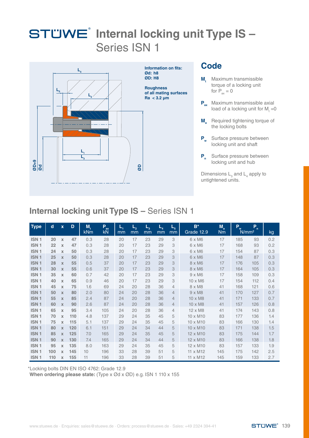

#### **Code**

- **M**<sub>t</sub> Maximum transmissible torque of a locking unit for  $P_{av} = 0$
- **P**<sub>ax</sub> Maximum transmissible axial load of a locking unit for  $M_t = 0$
- **M Required tightening torque of** the locking bolts
- **P<sub>w</sub>** Surface pressure between locking unit and shaft
- **P<sub>n</sub>** Surface pressure between locking unit and hub

### **Internal locking unit Type IS –** Series ISN 1

| $rac{6}{\sqrt{2}}$                   |             |                                    |            |              |                                                     |                   | aø            |               | locking unit and hub<br>Dimensions $L_3$ and $L_4$ apply to<br>untightened units. |                    |                          |                    |                           |                                                 |            |
|--------------------------------------|-------------|------------------------------------|------------|--------------|-----------------------------------------------------|-------------------|---------------|---------------|-----------------------------------------------------------------------------------|--------------------|--------------------------|--------------------|---------------------------|-------------------------------------------------|------------|
|                                      |             |                                    |            |              | <b>Internal locking unit Type IS - Series ISN 1</b> |                   |               |               |                                                                                   |                    |                          |                    |                           |                                                 |            |
| Type                                 | $\mathbf d$ | $\mathbf x$                        | D          | $M_t$<br>kNm | $\mathsf{P}_{\mathsf{ax}}$<br>kN                    | $L_{\rm i}$<br>mm | $L_{2}$<br>mm | $L_{3}$<br>mm | $L_{4}$<br>mm                                                                     | $\mathbf{Q}$<br>mm | $B^*$<br>Grade 12.9      | $M_a$<br><b>Nm</b> | $\mathsf{P}_{\mathsf{w}}$ | $\mathsf{P}_{_\mathrm{n}}$<br>N/mm <sup>2</sup> | kg         |
| ISN <sub>1</sub>                     | 20          | $\mathbf x$                        | 47         | 0.3          | 28                                                  | 20                | 17            | 23            | 29                                                                                | 3                  | $6 \times M6$            | 17                 | 185                       | 93                                              | 0.2        |
| ISN <sub>1</sub>                     | 22          | $\mathbf x$                        | 47         | 0.3          | 28                                                  | 20                | 17            | 23            | 29                                                                                | 3                  | 6 x M6                   | 17                 | 168                       | 93                                              | 0.2        |
| ISN <sub>1</sub>                     | 24          | $\mathbb X$                        | 50         | 0.3          | 28                                                  | 20                | 17            | 23            | 29                                                                                | 3                  | $6 \times M6$            | 17                 | 154                       | 87                                              | 0.3        |
| <b>ISN1</b>                          | 25          | $\mathbf x$                        | 50         | 0.3          | 28                                                  | 20                | 17            | 23            | 29                                                                                | 3                  | 6 x M6                   | 17                 | 148                       | 87                                              | 0.3        |
| <b>ISN1</b>                          | 28          | $\mathbf x$                        | 55         | 0.5          | 37                                                  | 20                | 17            | 23            | 29                                                                                | 3                  | $8 \times M6$            | 17                 | 176                       | 105                                             | 0.3        |
| <b>ISN1</b>                          | 30          | $\mathbf x$                        | 55         | 0.6          | 37                                                  | 20                | 17            | 23            | 29                                                                                | 3                  | 8 x M6                   | 17                 | 164                       | 105                                             | 0.3        |
| ISN <sub>1</sub><br>ISN <sub>1</sub> | 35<br>40    | $\mathbb X$<br>$\boldsymbol{\chi}$ | 60<br>65   | 0.7<br>0.9   | 42<br>46                                            | 20<br>20          | 17<br>17      | 23<br>23      | 29<br>29                                                                          | 3<br>3             | $9 \times M6$<br>10 x M6 | 17<br>17           | 158<br>154                | 109<br>112                                      | 0.3<br>0.4 |
| ISN <sub>1</sub>                     | 45          | $\boldsymbol{\chi}$                | 75         | 1.6          | 69                                                  | 24                | 20            | 28            | 36                                                                                | $\overline{4}$     | 8 x M8                   | 41                 | 168                       | 121                                             | 0.6        |
| ISN <sub>1</sub>                     | 50          | $\mathbf x$                        | 80         | 2.0          | 80                                                  | 24                | 20            | 28            | 36                                                                                | $\overline{4}$     | $9 \times M8$            | 41                 | 170                       | 127                                             | 0.7        |
| ISN <sub>1</sub>                     | 55          | $\mathbb X$                        | 85         | 2.4          | 87                                                  | 24                | 20            | 28            | 36                                                                                | 4                  | 10 x M8                  | 41                 | 171                       | 133                                             | 0.7        |
| ISN <sub>1</sub>                     | 60          | $\mathbf x$                        | 90         | 2.6          | 87                                                  | 24                | 20            | 28            | 36                                                                                | 4                  | 10 x M8                  | 41                 | 157                       | 126                                             | 0.8        |
| ISN <sub>1</sub>                     | 65          | $\mathbf x$                        | 95         | 3.4          | 105                                                 | 24                | 20            | 28            | 36                                                                                | 4                  | 12 x M8                  | 41                 | 174                       | 143                                             | 0.8        |
| ISN <sub>1</sub>                     | 70          | $\mathbf x$                        | 110        | 4.8          | 137                                                 | 29                | 24            | 35            | 45                                                                                | 5                  | 10 x M10                 | 83                 | 177                       | 136                                             | 1.4        |
| ISN <sub>1</sub>                     | 75          | $\mathbf x$                        | 115        | 5.1          | 137                                                 | 29                | 24            | 35            | 45                                                                                | 5                  | 10 x M10                 | 83                 | 166                       | 130                                             | 1.4        |
| ISN <sub>1</sub>                     | 80          | $\mathbf x$                        | 120        | 6.1          | 151                                                 | 29                | 24            | 34            | 44                                                                                | 5                  | 10 x M10                 | 83                 | 171                       | 138                                             | 1.5        |
| ISN <sub>1</sub>                     | 85          | $\mathbf x$                        | 125        | 7.0          | 165                                                 | 29                | 24            | 35            | 45                                                                                | 5                  | 12 x M10                 | 83                 | 175                       | 144                                             | 1.7        |
| ISN <sub>1</sub>                     | 90          | $\mathbf x$                        | 130        | 7.4          | 165                                                 | 29                | 24            | 34            | 44                                                                                | 5                  | 12 x M10                 | 83                 | 166                       | 138                                             | 1.8        |
| ISN <sub>1</sub>                     | 95          | $\boldsymbol{\chi}$                | 135        | 8.0          | 163                                                 | 29                | 24            | 35            | 45                                                                                | 5                  | 12 x M10                 | 83                 | 157                       | 133                                             | 1.9        |
| ISN <sub>1</sub><br>ISN <sub>1</sub> | 100<br>110  | $\mathbf x$                        | 145<br>155 | 10<br>11     | 196<br>196                                          | 33<br>33          | 28<br>28      | 39<br>39      | 51<br>51                                                                          | 5<br>5             | 11 x M12                 | 145<br>145         | 175<br>159                | 142<br>133                                      | 2.5<br>2.7 |
|                                      |             | $\mathbb X$                        |            |              |                                                     |                   |               |               |                                                                                   |                    | 11 x M12                 |                    |                           |                                                 |            |

\*Locking bolts DIN EN ISO 4762: Grade 12.9

**When ordering please state:** (Type x Ød x ØD) e.g. ISN 1 110 x 155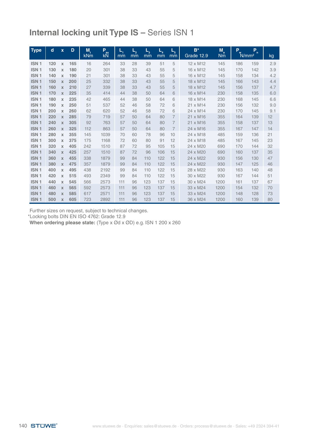| <b>Type</b>      | d   | $\mathbf{x}$              | D   | M,<br><b>kNm</b> | R<br><b>kN</b> | $\mathsf{L}_i$<br>mm | $L_{2}$<br>mm | $L_{3}$<br>mm | $L_{4}$<br>mm | $\mathbf{\Phi}$<br>mm | $B^*$<br>Grade 12.9 | $M_a$<br><b>Nm</b> | P <sub>w</sub> | P<br>$\mathbf{r}$<br>N/mm <sup>2</sup> | kg  |
|------------------|-----|---------------------------|-----|------------------|----------------|----------------------|---------------|---------------|---------------|-----------------------|---------------------|--------------------|----------------|----------------------------------------|-----|
| ISN <sub>1</sub> | 120 | X                         | 165 | 16               | 264            | 33                   | 28            | 39            | 51            | 5                     | 12 x M12            | 145                | 186            | 159                                    | 2.9 |
| <b>ISN1</b>      | 130 | X                         | 180 | 20               | 301            | 38                   | 33            | 43            | 55            | 5                     | 16 x M12            | 145                | 170            | 142                                    | 3.9 |
| ISN <sub>1</sub> | 140 | $\mathbf x$               | 190 | 21               | 301            | 38                   | 33            | 43            | 55            | 5                     | 16 x M12            | 145                | 158            | 134                                    | 4.2 |
| <b>ISN1</b>      | 150 | $\mathbf x$               | 200 | 25               | 332            | 38                   | 33            | 43            | 55            | 5                     | 18 x M12            | 145                | 166            | 143                                    | 4.4 |
| <b>ISN1</b>      | 160 | $\mathbf x$               | 210 | 27               | 339            | 38                   | 33            | 43            | 55            | 5                     | 18 x M12            | 145                | 156            | 137                                    | 4.7 |
| <b>ISN1</b>      | 170 | $\mathbf x$               | 225 | 35               | 414            | 44                   | 38            | 50            | 64            | 6                     | 16 x M14            | 230                | 158            | 135                                    | 6.0 |
| ISN <sub>1</sub> | 180 | $\mathbf x$               | 235 | 42               | 465            | 44                   | 38            | 50            | 64            | 6                     | 18 x M14            | 230                | 168            | 145                                    | 6.6 |
| ISN <sub>1</sub> | 190 | $\mathbf x$               | 250 | 51               | 537            | 52                   | 46            | 58            | 72            | 6                     | 21 x M14            | 230                | 156            | 132                                    | 9.0 |
| ISN <sub>1</sub> | 200 | $\boldsymbol{\chi}$       | 260 | 62               | 620            | 52                   | 46            | 58            | 72            | 6                     | 24 x M14            | 230                | 170            | 145                                    | 9.1 |
| <b>ISN1</b>      | 220 | $\mathbf x$               | 285 | 79               | 719            | 57                   | 50            | 64            | 80            | $\overline{7}$        | 21 x M16            | 355                | 164            | 139                                    | 12  |
| <b>ISN1</b>      | 240 | $\mathbf x$               | 305 | 92               | 763            | 57                   | 50            | 64            | 80            | $\overline{7}$        | 21 x M16            | 355                | 158            | 137                                    | 13  |
| <b>ISN1</b>      | 260 | $\mathbf x$               | 325 | 112              | 863            | 57                   | 50            | 64            | 80            | $\overline{7}$        | 24 x M16            | 355                | 167            | 147                                    | 14  |
| <b>ISN1</b>      | 280 | $\mathbf x$               | 355 | 145              | 1039           | 70                   | 60            | 78            | 96            | 10                    | 24 x M18            | 485                | 159            | 136                                    | 21  |
| <b>ISN1</b>      | 300 | $\mathbf x$               | 375 | 175              | 1168           | 72                   | 60            | 80            | 91            | 12                    | 24 x M18            | 485                | 167            | 145                                    | 23  |
| ISN <sub>1</sub> | 320 | $\mathbf x$               | 405 | 242              | 1510           | 87                   | 72            | 95            | 105           | 15                    | 24 x M20            | 690                | 170            | 144                                    | 32  |
| ISN <sub>1</sub> | 340 | $\mathbf x$               | 425 | 257              | 1510           | 87                   | 72            | 96            | 106           | 15                    | 24 x M20            | 690                | 160            | 137                                    | 35  |
| ISN <sub>1</sub> | 360 | $\mathbf x$               | 455 | 338              | 1879           | 99                   | 84            | 110           | 122           | 15                    | 24 x M22            | 930                | 156            | 130                                    | 47  |
| ISN <sub>1</sub> | 380 | $\mathbf x$               | 475 | 357              | 1879           | 99                   | 84            | 110           | 122           | 15                    | 24 x M22            | 930                | 147            | 125                                    | 46  |
| ISN <sub>1</sub> | 400 | $\mathbf x$               | 495 | 438              | 2192           | 99                   | 84            | 110           | 122           | 15                    | 28 x M22            | 930                | 163            | 140                                    | 48  |
| ISN <sub>1</sub> | 420 | $\boldsymbol{\mathsf{x}}$ | 515 | 493              | 2349           | 99                   | 84            | 110           | 122           | 15                    | 30 x M22            | 930                | 167            | 144                                    | 51  |
| ISN <sub>1</sub> | 440 | $\mathbf x$               | 545 | 566              | 2573           | 111                  | 96            | 123           | 137           | 15                    | 30 x M24            | 1200               | 161            | 137                                    | 67  |
| ISN <sub>1</sub> | 460 | $\mathbf x$               | 565 | 592              | 2573           | 111                  | 96            | 123           | 137           | 15                    | 33 x M24            | 1200               | 154            | 132                                    | 70  |
| ISN <sub>1</sub> | 480 | $\mathbf x$               | 585 | 617              | 2571           | 111                  | 96            | 123           | 137           | 15                    | 33 x M24            | 1200               | 148            | 128                                    | 73  |
| <b>ISN1</b>      | 500 | X                         | 605 | 723              | 2892           | 111                  | 96            | 123           | 137           | 15                    | 36 x M24            | 1200               | 160            | 139                                    | 80  |

Further sizes on request, subject to technical changes. \*Locking bolts DIN EN ISO 4762: Grade 12.9

**When ordering please state:** (Type x Ød x ØD) e.g. ISN 1 200 x 260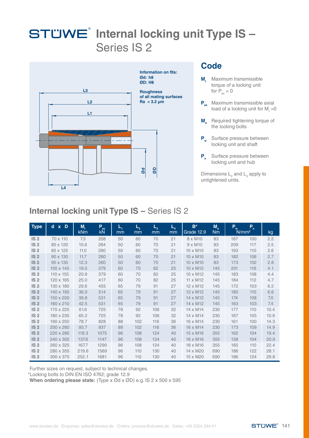

#### **Code**

- **M**<sub>t</sub> Maximum transmissible torque of a locking unit for  $P_{av} = 0$
- **P**<sub>ax</sub> Maximum transmissible axial load of a locking unit for  $M_t = 0$
- **M Required tightening torque of** the locking bolts
- **P<sub>w</sub>** Surface pressure between locking unit and shaft
- **P<sub>n</sub>** Surface pressure between locking unit and hub

Dimensions  $L_2$  and  $L_3$  apply to untightened units.

### **Internal locking unit Type IS –** Series IS 2

| <b>Type</b>     | $d \times D$ | M,<br><b>kNm</b> | Pax<br>kN | ц,<br>mm | $L_{2}$<br>mm | $L_{3}$<br>mm | $L_{4}$<br>mm | $B^*$<br>Grade 12.9 | $M_a$<br><b>Nm</b> | P.<br>N/mm <sup>2</sup> | B   | kg   |
|-----------------|--------------|------------------|-----------|----------|---------------|---------------|---------------|---------------------|--------------------|-------------------------|-----|------|
| IS <sub>2</sub> | 70 x 110     | 7.3              | 208       | 50       | 60            | 70            | 21            | 8 x M10             | 83                 | 187                     | 100 | 2.2  |
| IS <sub>2</sub> | 80 x 120     | 10.6             | 264       | 50       | 60            | 70            | 21            | $9 \times M10$      | 83                 | 209                     | 117 | 2.5  |
| IS <sub>2</sub> | 85 x 125     | 11.0             | 260       | 50       | 60            | 70            | 21            | 10 x M10            | 83                 | 193                     | 110 | 2.6  |
| IS <sub>2</sub> | 90 x 130     | 11.7             | 260       | 50       | 60            | 70            | 21            | 10 x M10            | 83                 | 182                     | 106 | 2.7  |
| IS <sub>2</sub> | 95 x 135     | 12.3             | 260       | 50       | 60            | 70            | 21            | 10 x M10            | 83                 | 173                     | 102 | 2.8  |
| IS <sub>2</sub> | 100 x 145    | 19.0             | 379       | 60       | 70            | 82            | 25            | 10 x M12            | 145                | 201                     | 116 | 4.1  |
| IS <sub>2</sub> | 110 x 155    | 20.9             | 379       | 60       | 70            | 82            | 25            | 10 x M12            | 145                | 183                     | 108 | 4.4  |
| IS <sub>2</sub> | 120 x 165    | 25.0             | 417       | 60       | 70            | 82            | 25            | 11 x M12            | 145                | 184                     | 112 | 4.7  |
| IS <sub>2</sub> | 130 x 180    | 29.6             | 455       | 65       | 79            | 91            | 27            | 12 x M12            | 145                | 172                     | 103 | 6.2  |
| IS <sub>2</sub> | 140 x 190    | 36.0             | 514       | 65       | 79            | 91            | 27            | 12 x M12            | 145                | 180                     | 110 | 6.6  |
| IS <sub>2</sub> | 150 x 200    | 39.8             | 531       | 65       | 79            | 91            | 27            | 14 x M12            | 145                | 174                     | 108 | 7.0  |
| IS <sub>2</sub> | 160 x 210    | 42.5             | 531       | 65       | 79            | 91            | 27            | 14 x M12            | 145                | 163                     | 103 | 7.4  |
| IS <sub>2</sub> | 170 x 225    | 61.6             | 725       | 78       | 92            | 106           | 32            | 14 x M14            | 230                | 177                     | 110 | 10.4 |
| IS <sub>2</sub> | 180 x 235    | 65.2             | 725       | 78       | 92            | 106           | 32            | 14 x M14            | 230                | 167                     | 105 | 10.9 |
| IS <sub>2</sub> | 190 x 250    | 78.7             | 828       | 88       | 102           | 116           | 36            | 16 x M14            | 230                | 161                     | 100 | 14.3 |
| IS <sub>2</sub> | 200 x 260    | 93.7             | 937       | 88       | 102           | 116           | 36            | 16 x M14            | 230                | 173                     | 109 | 14.9 |
| IS <sub>2</sub> | 220 x 285    | 118.3            | 1075      | 96       | 108           | 124           | 40            | 15 x M16            | 355                | 162                     | 104 | 19.4 |
| IS <sub>2</sub> | 240 x 305    | 137.6            | 1147      | 96       | 108           | 124           | 40            | 16 x M16            | 355                | 158                     | 104 | 20.9 |
| IS <sub>2</sub> | 260 x 325    | 167.7            | 1290      | 96       | 108           | 124           | 40            | 18 x M16            | 355                | 165                     | 110 | 22.4 |
| IS <sub>2</sub> | 280 x 355    | 219.6            | 1569      | 96       | 110           | 130           | 40            | 14 x M20            | 690                | 186                     | 122 | 28.1 |
| IS <sub>2</sub> | 300 x 375    | 252.1            | 1681      | 96       | 110           | 130           | 40            | 15 x M20            | 690                | 186                     | 124 | 29.8 |

Further sizes on request, subject to technical changes.

\*Locking bolts to DIN EN ISO 4762; grade 12.9

**When ordering please state:** (Type x Ød x ØD) e.g. IS 2 x 500 x 595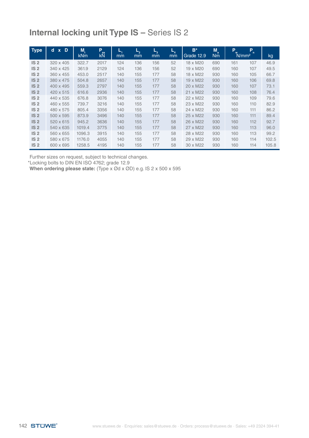| <b>Type</b>     | D<br>d<br>$\mathbf{x}$ | M,<br><b>kNm</b> | P<br>ax<br>kN | ч,<br>mm | L,<br>mm | $L_{3}$<br><sub>mm</sub> | $-4$<br>mm | $B^*$<br>Grade 12.9 | $M_a$<br><b>Nm</b> | P<br>w<br>N/mm <sup>2</sup> | P.  | kg    |
|-----------------|------------------------|------------------|---------------|----------|----------|--------------------------|------------|---------------------|--------------------|-----------------------------|-----|-------|
| IS <sub>2</sub> | 320 x 405              | 322.7            | 2017          | 124      | 136      | 156                      | 52         | 18 x M20            | 690                | 161                         | 107 | 46.9  |
| IS <sub>2</sub> | 340 x 425              | 361.9            | 2129          | 124      | 136      | 156                      | 52         | 19 x M20            | 690                | 160                         | 107 | 49.5  |
| IS <sub>2</sub> | 360 x 455              | 453.0            | 2517          | 140      | 155      | 177                      | 58         | 18 x M22            | 930                | 160                         | 105 | 66.7  |
| IS <sub>2</sub> | 380 x 475              | 504.8            | 2657          | 140      | 155      | 177                      | 58         | 19 x M22            | 930                | 160                         | 106 | 69.8  |
| IS <sub>2</sub> | 400 x 495              | 559.3            | 2797          | 140      | 155      | 177                      | 58         | 20 x M22            | 930                | 160                         | 107 | 73.1  |
| IS <sub>2</sub> | 420 x 515              | 616.6            | 2936          | 140      | 155      | 177                      | 58         | 21 x M22            | 930                | 160                         | 108 | 76.4  |
| IS <sub>2</sub> | 440 x 535              | 676.8            | 3076          | 140      | 155      | 177                      | 58         | 22 x M22            | 930                | 160                         | 109 | 79.6  |
| IS <sub>2</sub> | 460 x 555              | 739.7            | 3216          | 140      | 155      | 177                      | 58         | 23 x M22            | 930                | 160                         | 110 | 82.9  |
| IS <sub>2</sub> | 480 x 575              | 805.4            | 3356          | 140      | 155      | 177                      | 58         | 24 x M22            | 930                | 160                         | 111 | 86.2  |
| IS <sub>2</sub> | 500 x 595              | 873.9            | 3496          | 140      | 155      | 177                      | 58         | 25 x M22            | 930                | 160                         | 111 | 89.4  |
| IS <sub>2</sub> | 520 x 615              | 945.2            | 3636          | 140      | 155      | 177                      | 58         | 26 x M22            | 930                | 160                         | 112 | 92.7  |
| IS <sub>2</sub> | 540 x 635              | 1019.4           | 3775          | 140      | 155      | 177                      | 58         | 27 x M22            | 930                | 160                         | 113 | 96.0  |
| IS <sub>2</sub> | 560 x 655              | 1096.3           | 3915          | 140      | 155      | 177                      | 58         | 28 x M22            | 930                | 160                         | 113 | 99.2  |
| IS <sub>2</sub> | 580 x 675              | 1176.0           | 4055          | 140      | 155      | 177                      | 58         | 29 x M22            | 930                | 160                         | 114 | 102.5 |
| IS <sub>2</sub> | 600 x 695              | 1258.5           | 4195          | 140      | 155      | 177                      | 58         | 30 x M22            | 930                | 160                         | 114 | 105.8 |

Further sizes on request, subject to technical changes.

\*Locking bolts to DIN EN ISO 4762; grade 12.9

**When ordering please state:** (Type x Ød x ØD) e.g. IS 2 x 500 x 595

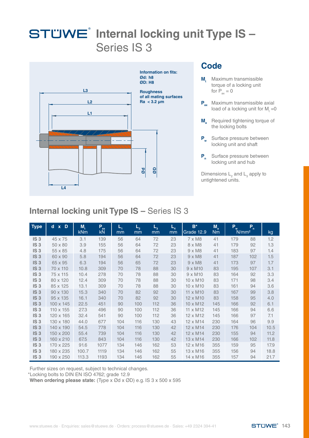

#### **Code**

- **M**<sub>t</sub> Maximum transmissible torque of a locking unit for  $P_{av} = 0$
- **P**<sub>ax</sub> Maximum transmissible axial load of a locking unit for  $M_t = 0$
- **M Required tightening torque of** the locking bolts
- **P<sub>w</sub>** Surface pressure between locking unit and shaft
- **P<sub>n</sub>** Surface pressure between locking unit and hub

Dimensions  $L_2$  and  $L_3$  apply to untightened units.

### **Internal locking unit Type IS –** Series IS 3

| <b>Type</b>     | $\overline{d}$ x $\overline{D}$ | M,<br>kNm | Pax<br>kN | L,<br>mm | $L_{2}$<br>mm | $L_{3}$<br>mm | $L_{4}$<br>mm | $B^*$<br>Grade 12.9  | $M_a$<br><b>Nm</b> | P.<br>N/mm <sup>2</sup> | B   | kg   |
|-----------------|---------------------------------|-----------|-----------|----------|---------------|---------------|---------------|----------------------|--------------------|-------------------------|-----|------|
| IS <sub>3</sub> | 45 x 75                         | 3.1       | 139       | 56       | 64            | 72            | 23            | $7 \times M8$        | 41                 | 179                     | 88  | 1.2  |
| IS <sub>3</sub> | 50 x 80                         | 3.9       | 155       | 56       | 64            | 72            | 23            | 8 x M8               | 41                 | 179                     | 92  | 1.3  |
| IS <sub>3</sub> | 55 x 85                         | 4.8       | 175       | 56       | 64            | 72            | 23            | $9 \times M8$        | 41                 | 183                     | 97  | 1.4  |
| IS <sub>3</sub> | 60 x 90                         | 5.8       | 194       | 56       | 64            | 72            | 23            | $9 \times M8$        | 41                 | 187                     | 102 | 1.5  |
| IS <sub>3</sub> | 65 x 95                         | 6.3       | 194       | 56       | 65            | 72            | 23            | $9 \times M8$        | 41                 | 173                     | 97  | 1.7  |
| IS <sub>3</sub> | 70 x 110                        | 10.8      | 309       | 70       | 78            | 88            | 30            | $9 \times M10$       | 83                 | 195                     | 107 | 3.1  |
| IS <sub>3</sub> | 75 x 115                        | 10.4      | 278       | 70       | 78            | 88            | 30            | $9 \times M10$       | 83                 | 164                     | 92  | 3.3  |
| IS <sub>3</sub> | 80 x 120                        | 12.4      | 309       | 70       | 78            | 88            | 30            | 10 x M <sub>10</sub> | 83                 | 171                     | 98  | 3.4  |
| IS <sub>3</sub> | 85 x 125                        | 13.1      | 309       | 70       | 78            | 88            | 30            | 10 x M10             | 83                 | 161                     | 94  | 3.6  |
| IS <sub>3</sub> | 90 x 130                        | 15.3      | 340       | 70       | 82            | 92            | 30            | 11 x M10             | 83                 | 167                     | 99  | 3.8  |
| IS <sub>3</sub> | 95 x 135                        | 16.1      | 340       | 70       | 82            | 92            | 30            | 12 x M10             | 83                 | 158                     | 95  | 4.0  |
| IS <sub>3</sub> | $100 \times 145$                | 22.5      | 451       | 90       | 100           | 112           | 36            | 10 x M12             | 145                | 166                     | 92  | 6.1  |
| IS <sub>3</sub> | 110 x 155                       | 27.3      | 496       | 90       | 100           | 112           | 36            | 11 x M12             | 145                | 166                     | 94  | 6.6  |
| IS <sub>3</sub> | 120 x 165                       | 32.4      | 541       | 90       | 100           | 112           | 36            | 12 x M12             | 145                | 166                     | 97  | 7.1  |
| IS <sub>3</sub> | 130 x 180                       | 44.0      | 677       | 104      | 116           | 130           | 43            | 12 x M14             | 230                | 164                     | 96  | 9.9  |
| IS <sub>3</sub> | 140 x 190                       | 54.5      | 778       | 104      | 116           | 130           | 42            | 12 x M14             | 230                | 176                     | 104 | 10.5 |
| IS <sub>3</sub> | 150 x 200                       | 55.4      | 739       | 104      | 116           | 130           | 42            | 12 x M14             | 230                | 155                     | 94  | 11.2 |
| IS <sub>3</sub> | 160 x 210                       | 67.5      | 843       | 104      | 116           | 130           | 42            | 13 x M14             | 230                | 166                     | 102 | 11.8 |
| IS <sub>3</sub> | 170 x 225                       | 91.6      | 1077      | 134      | 146           | 162           | 53            | 12 x M16             | 355                | 159                     | 95  | 17.9 |
| IS <sub>3</sub> | 180 x 235                       | 100.7     | 1119      | 134      | 146           | 162           | 55            | 13 x M16             | 355                | 156                     | 94  | 18.8 |
| IS <sub>3</sub> | 190 x 250                       | 113.3     | 1193      | 134      | 146           | 162           | 55            | 14 x M16             | 355                | 157                     | 94  | 21.7 |

Further sizes on request, subject to technical changes.

\*Locking bolts to DIN EN ISO 4762; grade 12.9

**When ordering please state:** (Type x Ød x ØD) e.g. IS 3 x 500 x 595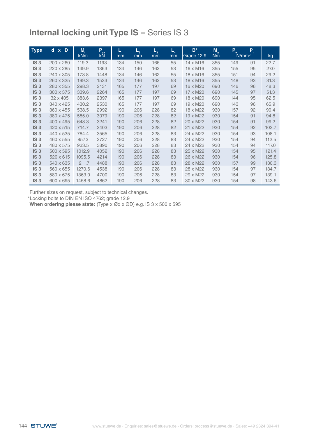| <b>Type</b>     | $\overline{d}$ x $\overline{D}$ | M,<br><b>kNm</b> | Par<br>kN | L,<br>mm | $L_{2}$<br>mm | $L_{3}$<br>mm | $L_{4}$<br>mm | $B^*$<br>Grade 12.9 | $M_a$<br><b>Nm</b> | P<br>N/mm <sup>2</sup> | P<br>$\mathbf{r}$ | kg    |
|-----------------|---------------------------------|------------------|-----------|----------|---------------|---------------|---------------|---------------------|--------------------|------------------------|-------------------|-------|
| IS <sub>3</sub> | 200 x 260                       | 119.3            | 1193      | 134      | 150           | 166           | 55            | 14 x M16            | 355                | 149                    | 91                | 22.7  |
| IS <sub>3</sub> | 220 x 285                       | 149.9            | 1363      | 134      | 146           | 162           | 53            | 16 x M16            | 355                | 155                    | 95                | 27.0  |
| IS <sub>3</sub> | 240 x 305                       | 173.8            | 1448      | 134      | 146           | 162           | 55            | 18 x M16            | 355                | 151                    | 94                | 29.2  |
| IS <sub>3</sub> | 260 x 325                       | 199.3            | 1533      | 134      | 146           | 162           | 53            | 18 x M16            | 355                | 148                    | 93                | 31.3  |
| IS <sub>3</sub> | 280 x 355                       | 298.3            | 2131      | 165      | 177           | 197           | 69            | 16 x M20            | 690                | 146                    | 96                | 48.3  |
| IS <sub>3</sub> | 300 x 375                       | 339.6            | 2264      | 165      | 177           | 197           | 69            | 17 x M20            | 690                | 145                    | 97                | 51.3  |
| IS <sub>3</sub> | 32 x 405                        | 383.6            | 2397      | 165      | 177           | 197           | 69            | 18 x M20            | 690                | 144                    | 95                | 62.5  |
| IS <sub>3</sub> | 340 x 425                       | 430.2            | 2530      | 165      | 177           | 197           | 69            | 19 x M20            | 690                | 143                    | 96                | 65.9  |
| IS <sub>3</sub> | 360 x 455                       | 538.5            | 2992      | 190      | 206           | 228           | 82            | 18 x M22            | 930                | 157                    | 92                | 90.4  |
| IS <sub>3</sub> | 380 x 475                       | 585.0            | 3079      | 190      | 206           | 228           | 82            | 19 x M22            | 930                | 154                    | 91                | 94.8  |
| IS <sub>3</sub> | 400 x 495                       | 648.3            | 3241      | 190      | 206           | 228           | 82            | 20 x M22            | 930                | 154                    | 91                | 99.2  |
| IS <sub>3</sub> | 420 x 515                       | 714.7            | 3403      | 190      | 206           | 228           | 82            | 21 x M22            | 930                | 154                    | 92                | 103.7 |
| IS <sub>3</sub> | 440 x 535                       | 784.4            | 3565      | 190      | 206           | 228           | 83            | 24 x M22            | 930                | 154                    | 93                | 108.1 |
| IS <sub>3</sub> | 460 x 555                       | 857.3            | 3727      | 190      | 206           | 228           | 83            | 24 x M22            | 930                | 154                    | 94                | 112.5 |
| IS <sub>3</sub> | 480 x 575                       | 933.5            | 3890      | 190      | 206           | 228           | 83            | 24 x M22            | 930                | 154                    | 94                | 117.0 |
| IS <sub>3</sub> | 500 x 595                       | 1012.9           | 4052      | 190      | 206           | 228           | 83            | 25 x M22            | 930                | 154                    | 95                | 121.4 |
| IS <sub>3</sub> | 520 x 615                       | 1095.5           | 4214      | 190      | 206           | 228           | 83            | 26 x M22            | 930                | 154                    | 96                | 125.8 |
| IS <sub>3</sub> | 540 x 635                       | 1211.7           | 4488      | 190      | 206           | 228           | 83            | 28 x M22            | 930                | 157                    | 99                | 130.3 |
| IS <sub>3</sub> | 560 x 655                       | 1270.6           | 4538      | 190      | 206           | 228           | 83            | 28 x M22            | 930                | 154                    | 97                | 134.7 |
| IS <sub>3</sub> | 580 x 675                       | 1363.0           | 4700      | 190      | 206           | 228           | 83            | 29 x M22            | 930                | 154                    | 97                | 139.1 |
| IS <sub>3</sub> | 600 x 695                       | 1458.6           | 4862      | 190      | 206           | 228           | 83            | 30 x M22            | 930                | 154                    | 98                | 143.6 |

Further sizes on request, subject to technical changes.

\*Locking bolts to DIN EN ISO 4762; grade 12.9

**When ordering please state:** (Type x Ød x ØD) e.g. IS 3 x 500 x 595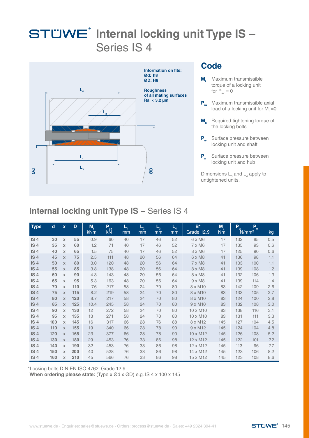

#### **Code**

- **M**<sub>t</sub> Maximum transmissible torque of a locking unit for  $P_{av} = 0$
- **P**<sub>ax</sub> Maximum transmissible axial load of a locking unit for  $M_t = 0$
- **M Required tightening torque of** the locking bolts
- **P<sub>w</sub>** Surface pressure between locking unit and shaft
- **P<sub>n</sub>** Surface pressure between locking unit and hub

Dimensions  $L_{3}$  and  $L_{4}$  apply to untightened units.

### **Internal locking unit Type IS –** Series IS 4

| <b>Type</b>     | $\mathbf d$ | $\mathbf{x}$        | D   | M,<br><b>kNm</b> | P<br>ax<br>kN | L,<br>mm | $L_{2}$<br>mm | $L_{3}$<br>mm | $L_{4}$<br>mm | $B^*$<br>Grade 12.9 | $M_a$<br><b>Nm</b> | P <sub>w</sub> | P<br>$\mathbf{r}$<br>N/mm <sup>2</sup> | kg  |
|-----------------|-------------|---------------------|-----|------------------|---------------|----------|---------------|---------------|---------------|---------------------|--------------------|----------------|----------------------------------------|-----|
| IS <sub>4</sub> | 30          | $\boldsymbol{\chi}$ | 55  | 0.9              | 60            | 40       | 17            | 46            | 52            | 6 x M6              | 17                 | 132            | 85                                     | 0.5 |
| IS <sub>4</sub> | 35          | $\mathbf x$         | 60  | 1.2              | 71            | 40       | 17            | 46            | 52            | 7 x M6              | 17                 | 135            | 93                                     | 0.6 |
| IS <sub>4</sub> | 40          | $\boldsymbol{\chi}$ | 65  | 1.5              | 75            | 40       | 17            | 46            | 52            | 8 x M6              | 17                 | 125            | 90                                     | 0.6 |
| IS <sub>4</sub> | 45          | $\mathbf{x}$        | 75  | 2.5              | 111           | 48       | 20            | 56            | 64            | 6 x M8              | 41                 | 136            | 98                                     | 1.1 |
| IS <sub>4</sub> | 50          | $\mathbf x$         | 80  | 3.0              | 120           | 48       | 20            | 56            | 64            | 7 x M8              | 41                 | 133            | 100                                    | 1.1 |
| IS <sub>4</sub> | 55          | $\mathbf x$         | 85  | 3.8              | 138           | 48       | 20            | 56            | 64            | 8 x M8              | 41                 | 139            | 108                                    | 1.2 |
| IS <sub>4</sub> | 60          | $\mathbf x$         | 90  | 4.3              | 143           | 48       | 20            | 56            | 64            | 8 x M8              | 41                 | 132            | 106                                    | 1.3 |
| IS <sub>4</sub> | 65          | $\boldsymbol{\chi}$ | 95  | 5.3              | 163           | 48       | 20            | 56            | 64            | $9 \times M8$       | 41                 | 139            | 114                                    | 1.4 |
| IS <sub>4</sub> | 70          | $\mathbf x$         | 110 | 7.6              | 217           | 58       | 24            | 70            | 80            | 8 x M10             | 83                 | 142            | 109                                    | 2.6 |
| IS <sub>4</sub> | 75          | $\boldsymbol{\chi}$ | 115 | 8.2              | 219           | 58       | 24            | 70            | 80            | 8 x M10             | 83                 | 133            | 105                                    | 2.7 |
| IS <sub>4</sub> | 80          | $\mathbf x$         | 120 | 8.7              | 217           | 58       | 24            | 70            | 80            | 8 x M10             | 83                 | 124            | 100                                    | 2.8 |
| IS <sub>4</sub> | 85          | $\mathbf x$         | 125 | 10.4             | 245           | 58       | 24            | 70            | 80            | $9 \times M10$      | 83                 | 132            | 108                                    | 3.0 |
| IS <sub>4</sub> | 90          | $\mathbf x$         | 130 | 12               | 272           | 58       | 24            | 70            | 80            | 10 x M10            | 83                 | 138            | 116                                    | 3.1 |
| IS <sub>4</sub> | 95          | $\mathbf x$         | 135 | 13               | 271           | 58       | 24            | 70            | 80            | 10 x M10            | 83                 | 131            | 111                                    | 3.3 |
| IS <sub>4</sub> | 100         | $\mathbf x$         | 145 | 16               | 317           | 66       | 28            | 76            | 88            | 8 x M12             | 145                | 127            | 104                                    | 4.5 |
| IS <sub>4</sub> | 110         | $\mathbf x$         | 155 | 19               | 340           | 66       | 28            | 78            | 90            | 9 x M12             | 145                | 124            | 104                                    | 4.8 |
| IS <sub>4</sub> | 120         | $\mathbf x$         | 165 | 23               | 377           | 66       | 28            | 78            | 90            | 10 x M12            | 145                | 126            | 108                                    | 5.2 |
| IS <sub>4</sub> | 130         | $\mathbf x$         | 180 | 29               | 453           | 76       | 33            | 86            | 98            | 12 x M12            | 145                | 122            | 101                                    | 7.2 |
| IS <sub>4</sub> | 140         | $\mathbf x$         | 190 | 32               | 453           | 76       | 33            | 86            | 98            | 12 x M12            | 145                | 113            | 96                                     | 7.7 |
| IS <sub>4</sub> | 150         | $\mathbf x$         | 200 | 40               | 528           | 76       | 33            | 86            | 98            | 14 x M12            | 145                | 123            | 106                                    | 8.2 |
| IS <sub>4</sub> | 160         | $\mathbf x$         | 210 | 45               | 566           | 76       | 33            | 86            | 98            | 15 x M12            | 145                | 123            | 108                                    | 8.6 |

\*Locking bolts DIN EN ISO 4762: Grade 12.9

**When ordering please state:** (Type x Ød x ØD) e.g. IS 4 x 100 x 145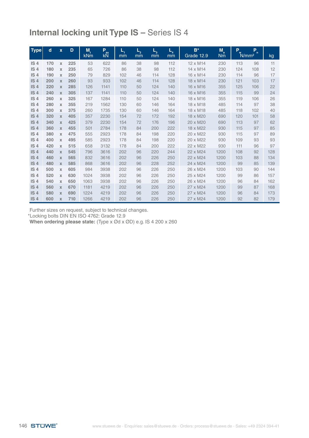| <b>Type</b>     | $\mathbf d$ | $\mathbf{x}$ | D   | M,         | Part of | $L_{1}$ | $L_{2}$ | $L_{3}$ | $L_{4}$ | $B^*$      | $M_a$     | P <sub>w</sub> | P<br>$\mathbf{r}$ |     |
|-----------------|-------------|--------------|-----|------------|---------|---------|---------|---------|---------|------------|-----------|----------------|-------------------|-----|
|                 |             |              |     | <b>kNm</b> | kN      | mm      | mm      | mm      | mm      | Grade 12.9 | <b>Nm</b> |                | N/mm <sup>2</sup> | kg  |
| IS <sub>4</sub> | 170         | $\mathbf x$  | 225 | 53         | 622     | 86      | 38      | 98      | 112     | 12 x M14   | 230       | 113            | 96                | 11  |
| IS <sub>4</sub> | 180         | $\mathbf x$  | 235 | 65         | 726     | 86      | 38      | 98      | 112     | 14 x M14   | 230       | 124            | 108               | 12  |
| IS <sub>4</sub> | 190         | $\mathbf x$  | 250 | 79         | 829     | 102     | 46      | 114     | 128     | 16 x M14   | 230       | 114            | 96                | 17  |
| IS <sub>4</sub> | 200         | $\mathbf x$  | 260 | 93         | 933     | 102     | 46      | 114     | 128     | 18 x M14   | 230       | 121            | 103               | 17  |
| IS <sub>4</sub> | 220         | $\mathbf x$  | 285 | 126        | 1141    | 110     | 50      | 124     | 140     | 16 x M16   | 355       | 125            | 106               | 22  |
| IS <sub>4</sub> | 240         | $\mathbf x$  | 305 | 137        | 1141    | 110     | 50      | 124     | 140     | 16 x M16   | 355       | 115            | 99                | 24  |
| IS <sub>4</sub> | 260         | X            | 325 | 167        | 1284    | 110     | 50      | 124     | 140     | 18 x M16   | 355       | 119            | 106               | 26  |
| IS <sub>4</sub> | 280         | X            | 355 | 219        | 1562    | 130     | 60      | 146     | 164     | 18 x M18   | 485       | 114            | 97                | 38  |
| IS <sub>4</sub> | 300         | X            | 375 | 260        | 1735    | 130     | 60      | 146     | 164     | 18 x M18   | 485       | 118            | 102               | 40  |
| IS <sub>4</sub> | 320         | $\mathbf x$  | 405 | 357        | 2230    | 154     | 72      | 172     | 192     | 18 x M20   | 690       | 120            | 101               | 58  |
| IS <sub>4</sub> | 340         | $\mathbf x$  | 425 | 379        | 2230    | 154     | 72      | 176     | 196     | 20 x M20   | 690       | 113            | 97                | 62  |
| IS <sub>4</sub> | 360         | $\mathbf x$  | 455 | 501        | 2784    | 178     | 84      | 200     | 222     | 18 x M22   | 930       | 115            | 97                | 85  |
| IS <sub>4</sub> | 380         | $\mathbf x$  | 475 | 555        | 2923    | 178     | 84      | 198     | 220     | 20 x M22   | 930       | 115            | 97                | 89  |
| IS <sub>4</sub> | 400         | $\mathbf x$  | 495 | 585        | 2923    | 178     | 84      | 198     | 220     | 20 x M22   | 930       | 109            | 93                | 93  |
| IS <sub>4</sub> | 420         | X            | 515 | 658        | 3132    | 178     | 84      | 200     | 222     | 22 x M22   | 930       | 111            | 96                | 97  |
| IS <sub>4</sub> | 440         | $\mathbf x$  | 545 | 796        | 3616    | 202     | 96      | 220     | 244     | 22 x M24   | 1200      | 108            | 92                | 128 |
| IS <sub>4</sub> | 460         | $\mathbf x$  | 565 | 832        | 3616    | 202     | 96      | 226     | 250     | 22 x M24   | 1200      | 103            | 88                | 134 |
| IS <sub>4</sub> | 480         | $\mathbf x$  | 585 | 868        | 3616    | 202     | 96      | 228     | 252     | 24 x M24   | 1200      | 99             | 85                | 139 |
| IS <sub>4</sub> | 500         | $\mathbf x$  | 605 | 984        | 3938    | 202     | 96      | 226     | 250     | 26 x M24   | 1200      | 103            | 90                | 144 |
| IS <sub>4</sub> | 520         | X            | 630 | 1024       | 3938    | 202     | 96      | 226     | 250     | 25 x M24   | 1200      | 99             | 86                | 157 |
| IS <sub>4</sub> | 540         | $\mathbf x$  | 650 | 1063       | 3938    | 202     | 96      | 226     | 250     | 26 x M24   | 1200      | 96             | 84                | 162 |
| IS <sub>4</sub> | 560         | $\mathbf x$  | 670 | 1181       | 4219    | 202     | 96      | 226     | 250     | 27 x M24   | 1200      | 99             | 87                | 168 |
| IS <sub>4</sub> | 580         | $\mathbf x$  | 690 | 1224       | 4219    | 202     | 96      | 226     | 250     | 27 x M24   | 1200      | 96             | 84                | 173 |
| IS <sub>4</sub> | 600         | $\mathbf x$  | 710 | 1266       | 4219    | 202     | 96      | 226     | 250     | 27 x M24   | 1200      | 92             | 82                | 179 |

Further sizes on request, subject to technical changes. \*Locking bolts DIN EN ISO 4762: Grade 12.9

**When ordering please state:** (Type x Ød x ØD) e.g. IS 4 200 x 260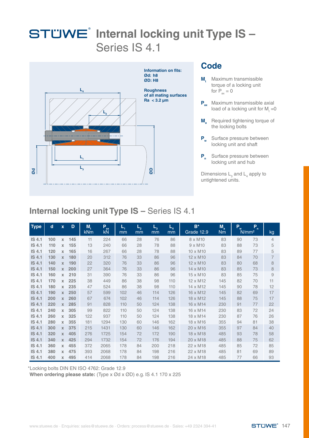

#### **Code**

- **M**<sub>t</sub> Maximum transmissible torque of a locking unit for  $P_{av} = 0$
- **P**<sub>ax</sub> Maximum transmissible axial load of a locking unit for  $M_t = 0$
- **M Required tightening torque of** the locking bolts
- **P<sub>w</sub>** Surface pressure between locking unit and shaft
- **P<sub>n</sub>** Surface pressure between locking unit and hub

Dimensions  $L_{3}$  and  $L_{4}$  apply to untightened units.

### **Internal locking unit Type IS –** Series IS 4.1

| <b>Type</b>   | $\mathbf d$ | $\mathbf x$  | D   | M,<br><b>kNm</b> | P<br>ax<br>kN | L,<br>mm | $L_{2}$<br>mm | $L_{3}$<br>mm | $\boldsymbol{\varphi}$<br>mm | $B^*$<br>Grade 12.9 | $M_a$<br><b>Nm</b> | $P_w$ | P<br>$\mathbf{r}$<br>N/mm <sup>2</sup> | kg             |
|---------------|-------------|--------------|-----|------------------|---------------|----------|---------------|---------------|------------------------------|---------------------|--------------------|-------|----------------------------------------|----------------|
| <b>IS 4.1</b> | 100         | $\mathbf x$  | 145 | 11               | 224           | 66       | 28            | 76            | 86                           | 8 x M10             | 83                 | 90    | 73                                     | $\overline{4}$ |
| <b>IS 4.1</b> | 110         | X            | 155 | 13               | 240           | 66       | 28            | 78            | 88                           | $9 \times M10$      | 83                 | 88    | 73                                     | 5              |
| <b>IS 4.1</b> | 120         | X            | 165 | 16               | 267           | 66       | 28            | 78            | 88                           | 10 x M10            | 83                 | 89    | 77                                     | 5              |
| <b>IS 4.1</b> | 130         | X            | 180 | 20               | 312           | 76       | 33            | 86            | 96                           | 12 x M10            | 83                 | 84    | 70                                     | $\overline{7}$ |
| <b>IS 4.1</b> | 140         | $\mathbf x$  | 190 | 22               | 320           | 76       | 33            | 86            | 96                           | 12 x M10            | 83                 | 80    | 68                                     | 8              |
| <b>IS 4.1</b> | 150         | $\mathbf x$  | 200 | 27               | 364           | 76       | 33            | 86            | 96                           | 14 x M10            | 83                 | 85    | 73                                     | 8              |
| <b>IS 4.1</b> | 160         | $\mathbf x$  | 210 | 31               | 390           | 76       | 33            | 86            | 96                           | 15 x M10            | 83                 | 85    | 75                                     | 9              |
| <b>IS 4.1</b> | 170         | $\mathbf x$  | 225 | 38               | 449           | 86       | 38            | 98            | 110                          | 12 x M12            | 145                | 82    | 70                                     | 11             |
| <b>IS 4.1</b> | 180         | X            | 235 | 47               | 524           | 86       | 38            | 98            | 110                          | 14 x M12            | 145                | 90    | 78                                     | 12             |
| <b>IS 4.1</b> | 190         | $\mathbf{x}$ | 250 | 57               | 599           | 102      | 46            | 114           | 126                          | 16 x M12            | 145                | 82    | 69                                     | 17             |
| <b>IS 4.1</b> | 200         | X            | 260 | 67               | 674           | 102      | 46            | 114           | 126                          | 18 x M12            | 145                | 88    | 75                                     | 17             |
| <b>IS 4.1</b> | 220         | $\mathbf x$  | 285 | 91               | 828           | 110      | 50            | 124           | 138                          | 16 x M14            | 230                | 91    | 77                                     | 22             |
| <b>IS 4.1</b> | 240         | $\mathbf x$  | 305 | 99               | 822           | 110      | 50            | 124           | 138                          | 16 x M14            | 230                | 83    | 72                                     | 24             |
| <b>IS 4.1</b> | 260         | X            | 325 | 122              | 937           | 110      | 50            | 124           | 138                          | 18 x M14            | 230                | 87    | 76                                     | 26             |
| <b>IS 4.1</b> | 280         | $\mathbf x$  | 355 | 181              | 1294          | 130      | 60            | 146           | 162                          | 18 x M16            | 355                | 94    | 81                                     | 38             |
| <b>IS 4.1</b> | 300         | $\mathbf{x}$ | 375 | 215              | 1431          | 130      | 60            | 146           | 162                          | 20 x M16            | 355                | 97    | 84                                     | 40             |
| <b>IS 4.1</b> | 320         | X            | 405 | 276              | 1725          | 154      | 72            | 172           | 190                          | 18 x M18            | 485                | 93    | 78                                     | 58             |
| <b>IS 4.1</b> | 340         | $\mathbf x$  | 425 | 294              | 1732          | 154      | 72            | 176           | 194                          | 20 x M18            | 485                | 88    | 75                                     | 62             |
| <b>IS 4.1</b> | 360         | $\mathbf x$  | 455 | 372              | 2065          | 178      | 84            | 200           | 218                          | 22 x M18            | 485                | 85    | 72                                     | 85             |
| <b>IS 4.1</b> | 380         | $\mathbf x$  | 475 | 393              | 2068          | 178      | 84            | 198           | 216                          | 22 x M18            | 485                | 81    | 69                                     | 89             |
| <b>IS 4.1</b> | 400         | $\mathbf{x}$ | 495 | 414              | 2068          | 178      | 84            | 198           | 216                          | 24 x M18            | 485                | 77    | 66                                     | 93             |

\*Locking bolts DIN EN ISO 4762: Grade 12.9

**When ordering please state:** (Type x Ød x ØD) e.g. IS 4.1 170 x 225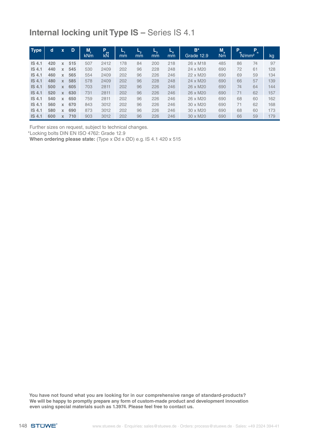| <b>Type</b>       | d   | $\mathbf x$ | D   | M.         | P<br>ax | ь,  | ⊷  | ь,  | ┕   | $B^*$           | $M_a$ | $\mathbf{P}_{\mathbf{w}}$ | P<br>$\mathsf{n}$ |     |
|-------------------|-----|-------------|-----|------------|---------|-----|----|-----|-----|-----------------|-------|---------------------------|-------------------|-----|
|                   |     |             |     | <b>kNm</b> | kN      | mm  | mm | mm  | mm  | Grade 12.9      | Nm    |                           | N/mm <sup>2</sup> | kg  |
| <b>IS 4.1</b>     | 420 | X           | 515 | 507        | 2412    | 178 | 84 | 200 | 218 | 26 x M18        | 485   | 86                        | 74                | 97  |
| <b>IS 4.1</b>     | 440 | X           | 545 | 530        | 2409    | 202 | 96 | 228 | 248 | 24 x M20        | 690   | 72                        | 61                | 128 |
| <b>IS 4.1</b>     | 460 | X           | 565 | 554        | 2409    | 202 | 96 | 226 | 246 | 22 x M20        | 690   | 69                        | 59                | 134 |
| <b>IS 4.1</b>     | 480 | X           | 585 | 578        | 2409    | 202 | 96 | 228 | 248 | 24 x M20        | 690   | 66                        | 57                | 139 |
| <b>IS 4.1</b>     | 500 | X           | 605 | 703        | 2811    | 202 | 96 | 226 | 246 | 26 x M20        | 690   | 74                        | 64                | 144 |
| IS <sub>4.1</sub> | 520 | X           | 630 | 731        | 2811    | 202 | 96 | 226 | 246 | 26 x M20        | 690   | 71                        | 62                | 157 |
| <b>IS 4.1</b>     | 540 | x           | 650 | 759        | 2811    | 202 | 96 | 226 | 246 | 26 x M20        | 690   | 68                        | 60                | 162 |
| IS <sub>4.1</sub> | 560 | X           | 670 | 843        | 3012    | 202 | 96 | 226 | 246 | $30 \times M20$ | 690   | 71                        | 62                | 168 |
| IS <sub>4.1</sub> | 580 | X           | 690 | 873        | 3012    | 202 | 96 | 226 | 246 | $30 \times M20$ | 690   | 68                        | 60                | 173 |
| <b>IS 4.1</b>     | 600 | <b>X</b>    | 710 | 903        | 3012    | 202 | 96 | 226 | 246 | 30 x M20        | 690   | 66                        | 59                | 179 |

Further sizes on request, subject to technical changes.

\*Locking bolts DIN EN ISO 4762: Grade 12.9

**When ordering please state:** (Type x Ød x ØD) e.g. IS 4.1 420 x 515

**You have not found what you are looking for in our comprehensive range of standard-products? We will be happy to promptly prepare any form of custom-made product and development innovation even using special materials such as 1.3974. Please feel free to contact us.**